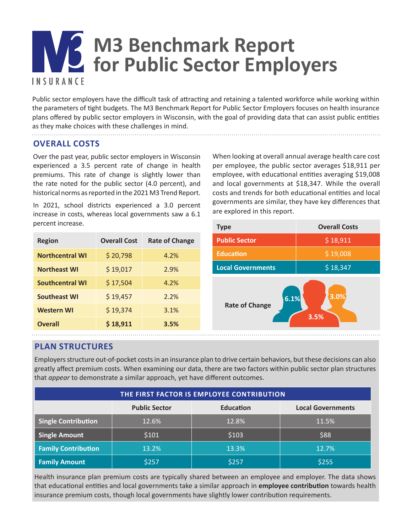# **M3 Benchmark Report for Public Sector Employers INSURANCE**

Public sector employers have the difficult task of attracting and retaining a talented workforce while working within the parameters of tight budgets. The M3 Benchmark Report for Public Sector Employers focuses on health insurance plans offered by public sector employers in Wisconsin, with the goal of providing data that can assist public entities as they make choices with these challenges in mind.

## **OVERALL COSTS**

Over the past year, public sector employers in Wisconsin experienced a 3.5 percent rate of change in health premiums. This rate of change is slightly lower than the rate noted for the public sector (4.0 percent), and historical norms as reported in the 2021 M3 Trend Report.

In 2021, school districts experienced a 3.0 percent increase in costs, whereas local governments saw a 6.1 percent increase.

| <b>Region</b>          | <b>Overall Cost</b> | <b>Rate of Change</b> |
|------------------------|---------------------|-----------------------|
| <b>Northcentral WI</b> | \$20,798            | 4.2%                  |
| <b>Northeast WI</b>    | \$19,017            | 2.9%                  |
| <b>Southcentral WI</b> | \$17,504            | 4.2%                  |
| <b>Southeast WI</b>    | \$19,457            | 2.2%                  |
| <b>Western WI</b>      | \$19,374            | 3.1%                  |
| <b>Overall</b>         | \$18,911            | 3.5%                  |

When looking at overall annual average health care cost per employee, the public sector averages \$18,911 per employee, with educational entities averaging \$19,008 and local governments at \$18,347. While the overall costs and trends for both educational entities and local governments are similar, they have key differences that are explored in this report.



## **PLAN STRUCTURES**

Employers structure out-of-pocket costs in an insurance plan to drive certain behaviors, but these decisions can also greatly affect premium costs. When examining our data, there are two factors within public sector plan structures that *appear* to demonstrate a similar approach, yet have different outcomes.

| THE FIRST FACTOR IS EMPLOYEE CONTRIBUTION |                      |                  |                          |  |  |  |
|-------------------------------------------|----------------------|------------------|--------------------------|--|--|--|
|                                           | <b>Public Sector</b> | <b>Education</b> | <b>Local Governments</b> |  |  |  |
| <b>Single Contribution</b>                | 12.6%                | 12.8%            | 11.5%                    |  |  |  |
| <b>Single Amount</b>                      | \$101                | \$103            | \$88                     |  |  |  |
| <b>Family Contribution</b>                | 13.2%                | 13.3%            | 12.7%                    |  |  |  |
| <b>Family Amount</b>                      | \$257                | \$257            | \$255                    |  |  |  |

Health insurance plan premium costs are typically shared between an employee and employer. The data shows that educational entities and local governments take a similar approach in **employee contribution** towards health insurance premium costs, though local governments have slightly lower contribution requirements.